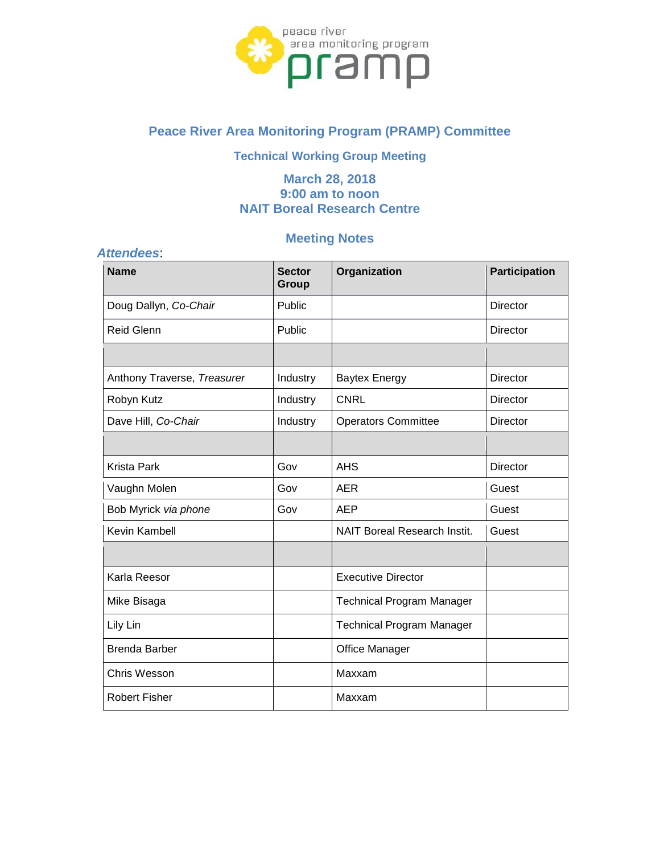

# **Peace River Area Monitoring Program (PRAMP) Committee**

# **Technical Working Group Meeting**

# **March 28, 2018 9:00 am to noon NAIT Boreal Research Centre**

# **Meeting Notes**

| Organization<br><b>Participation</b><br><b>Name</b><br><b>Sector</b><br>Group<br>Doug Dallyn, Co-Chair<br>Public<br><b>Director</b><br><b>Reid Glenn</b><br>Public<br><b>Director</b><br>Anthony Traverse, Treasurer<br><b>Director</b><br>Industry<br><b>Baytex Energy</b><br>Robyn Kutz<br><b>CNRL</b><br>Industry<br>Director<br>Dave Hill, Co-Chair<br>Industry<br><b>Operators Committee</b><br><b>Director</b><br><b>Krista Park</b><br>Gov<br><b>AHS</b><br><b>Director</b><br>Vaughn Molen<br>Gov<br><b>AER</b><br>Guest<br>Gov<br><b>AEP</b><br>Bob Myrick via phone<br>Guest<br>Kevin Kambell<br><b>NAIT Boreal Research Instit.</b><br>Guest<br>Karla Reesor<br><b>Executive Director</b><br>Mike Bisaga<br><b>Technical Program Manager</b><br>Lily Lin<br><b>Technical Program Manager</b><br><b>Brenda Barber</b><br>Office Manager<br>Chris Wesson<br>Maxxam<br><b>Robert Fisher</b><br>Maxxam | <b>Attendees:</b> |  |  |  |  |  |
|---------------------------------------------------------------------------------------------------------------------------------------------------------------------------------------------------------------------------------------------------------------------------------------------------------------------------------------------------------------------------------------------------------------------------------------------------------------------------------------------------------------------------------------------------------------------------------------------------------------------------------------------------------------------------------------------------------------------------------------------------------------------------------------------------------------------------------------------------------------------------------------------------------------|-------------------|--|--|--|--|--|
|                                                                                                                                                                                                                                                                                                                                                                                                                                                                                                                                                                                                                                                                                                                                                                                                                                                                                                               |                   |  |  |  |  |  |
|                                                                                                                                                                                                                                                                                                                                                                                                                                                                                                                                                                                                                                                                                                                                                                                                                                                                                                               |                   |  |  |  |  |  |
|                                                                                                                                                                                                                                                                                                                                                                                                                                                                                                                                                                                                                                                                                                                                                                                                                                                                                                               |                   |  |  |  |  |  |
|                                                                                                                                                                                                                                                                                                                                                                                                                                                                                                                                                                                                                                                                                                                                                                                                                                                                                                               |                   |  |  |  |  |  |
|                                                                                                                                                                                                                                                                                                                                                                                                                                                                                                                                                                                                                                                                                                                                                                                                                                                                                                               |                   |  |  |  |  |  |
|                                                                                                                                                                                                                                                                                                                                                                                                                                                                                                                                                                                                                                                                                                                                                                                                                                                                                                               |                   |  |  |  |  |  |
|                                                                                                                                                                                                                                                                                                                                                                                                                                                                                                                                                                                                                                                                                                                                                                                                                                                                                                               |                   |  |  |  |  |  |
|                                                                                                                                                                                                                                                                                                                                                                                                                                                                                                                                                                                                                                                                                                                                                                                                                                                                                                               |                   |  |  |  |  |  |
|                                                                                                                                                                                                                                                                                                                                                                                                                                                                                                                                                                                                                                                                                                                                                                                                                                                                                                               |                   |  |  |  |  |  |
|                                                                                                                                                                                                                                                                                                                                                                                                                                                                                                                                                                                                                                                                                                                                                                                                                                                                                                               |                   |  |  |  |  |  |
|                                                                                                                                                                                                                                                                                                                                                                                                                                                                                                                                                                                                                                                                                                                                                                                                                                                                                                               |                   |  |  |  |  |  |
|                                                                                                                                                                                                                                                                                                                                                                                                                                                                                                                                                                                                                                                                                                                                                                                                                                                                                                               |                   |  |  |  |  |  |
|                                                                                                                                                                                                                                                                                                                                                                                                                                                                                                                                                                                                                                                                                                                                                                                                                                                                                                               |                   |  |  |  |  |  |
|                                                                                                                                                                                                                                                                                                                                                                                                                                                                                                                                                                                                                                                                                                                                                                                                                                                                                                               |                   |  |  |  |  |  |
|                                                                                                                                                                                                                                                                                                                                                                                                                                                                                                                                                                                                                                                                                                                                                                                                                                                                                                               |                   |  |  |  |  |  |
|                                                                                                                                                                                                                                                                                                                                                                                                                                                                                                                                                                                                                                                                                                                                                                                                                                                                                                               |                   |  |  |  |  |  |
|                                                                                                                                                                                                                                                                                                                                                                                                                                                                                                                                                                                                                                                                                                                                                                                                                                                                                                               |                   |  |  |  |  |  |
|                                                                                                                                                                                                                                                                                                                                                                                                                                                                                                                                                                                                                                                                                                                                                                                                                                                                                                               |                   |  |  |  |  |  |
|                                                                                                                                                                                                                                                                                                                                                                                                                                                                                                                                                                                                                                                                                                                                                                                                                                                                                                               |                   |  |  |  |  |  |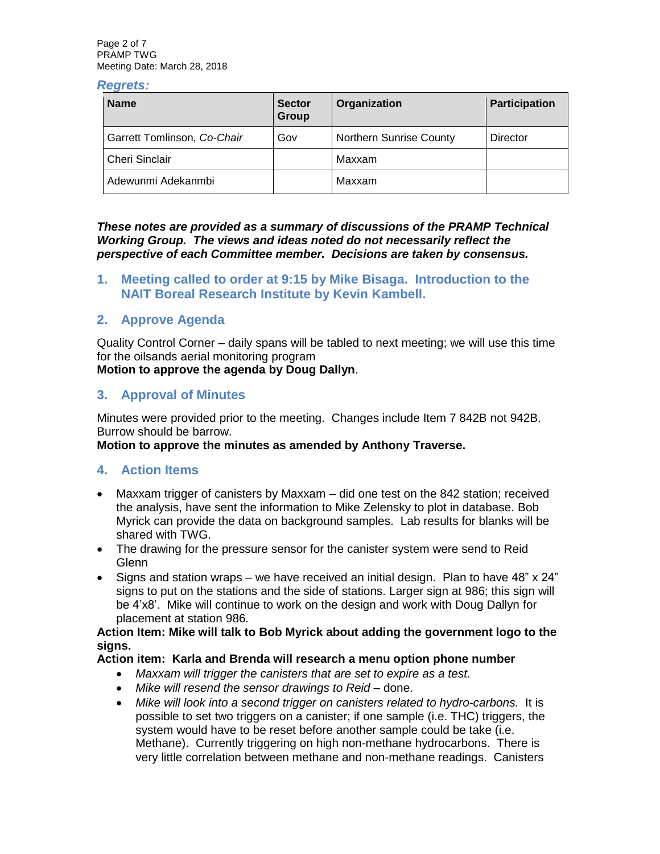Page 2 of 7 PRAMP TWG Meeting Date: March 28, 2018

#### *Regrets:*

| <b>Name</b>                 | <b>Sector</b><br>Group | Organization                   | <b>Participation</b> |
|-----------------------------|------------------------|--------------------------------|----------------------|
| Garrett Tomlinson, Co-Chair | Gov                    | <b>Northern Sunrise County</b> | <b>Director</b>      |
| <b>Cheri Sinclair</b>       |                        | Maxxam                         |                      |
| Adewunmi Adekanmbi          |                        | Maxxam                         |                      |

*These notes are provided as a summary of discussions of the PRAMP Technical Working Group. The views and ideas noted do not necessarily reflect the perspective of each Committee member. Decisions are taken by consensus.* 

**1. Meeting called to order at 9:15 by Mike Bisaga. Introduction to the NAIT Boreal Research Institute by Kevin Kambell.**

### **2. Approve Agenda**

Quality Control Corner – daily spans will be tabled to next meeting; we will use this time for the oilsands aerial monitoring program

#### **Motion to approve the agenda by Doug Dallyn**.

#### **3. Approval of Minutes**

Minutes were provided prior to the meeting. Changes include Item 7 842B not 942B. Burrow should be barrow.

#### **Motion to approve the minutes as amended by Anthony Traverse.**

#### **4. Action Items**

- Maxxam trigger of canisters by Maxxam did one test on the 842 station; received the analysis, have sent the information to Mike Zelensky to plot in database. Bob Myrick can provide the data on background samples. Lab results for blanks will be shared with TWG.
- The drawing for the pressure sensor for the canister system were send to Reid **Glenn**
- Signs and station wraps we have received an initial design. Plan to have 48" x 24" signs to put on the stations and the side of stations. Larger sign at 986; this sign will be 4'x8'. Mike will continue to work on the design and work with Doug Dallyn for placement at station 986.

#### **Action Item: Mike will talk to Bob Myrick about adding the government logo to the signs.**

#### **Action item: Karla and Brenda will research a menu option phone number**

- *Maxxam will trigger the canisters that are set to expire as a test.*
- *Mike will resend the sensor drawings to Reid –* done.
- *Mike will look into a second trigger on canisters related to hydro-carbons.* It is possible to set two triggers on a canister; if one sample (i.e. THC) triggers, the system would have to be reset before another sample could be take (i.e. Methane). Currently triggering on high non-methane hydrocarbons. There is very little correlation between methane and non-methane readings. Canisters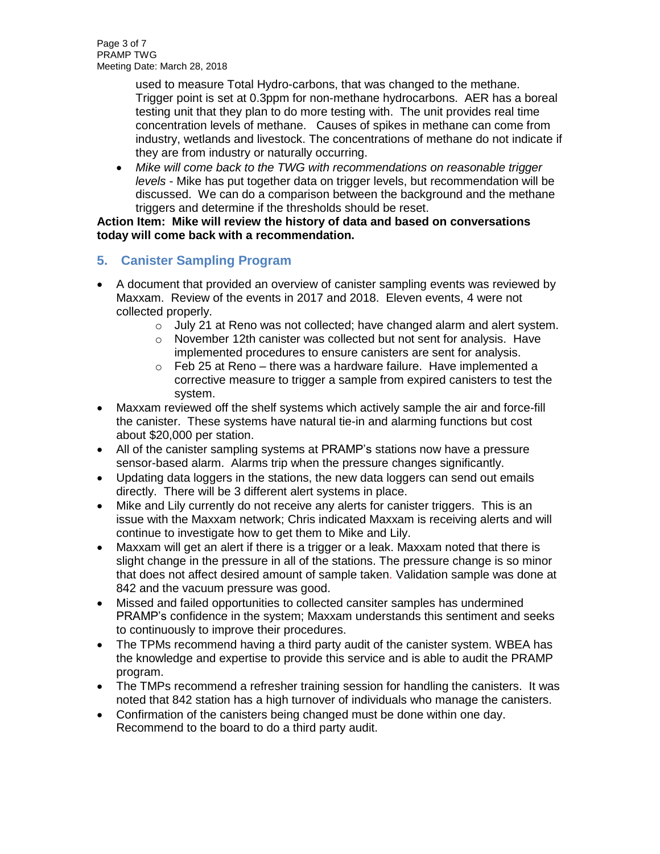Page 3 of 7 PRAMP TWG Meeting Date: March 28, 2018

> used to measure Total Hydro-carbons, that was changed to the methane. Trigger point is set at 0.3ppm for non-methane hydrocarbons. AER has a boreal testing unit that they plan to do more testing with. The unit provides real time concentration levels of methane. Causes of spikes in methane can come from industry, wetlands and livestock. The concentrations of methane do not indicate if they are from industry or naturally occurring.

• *Mike will come back to the TWG with recommendations on reasonable trigger levels* - Mike has put together data on trigger levels, but recommendation will be discussed. We can do a comparison between the background and the methane triggers and determine if the thresholds should be reset.

### **Action Item: Mike will review the history of data and based on conversations today will come back with a recommendation.**

# **5. Canister Sampling Program**

- A document that provided an overview of canister sampling events was reviewed by Maxxam. Review of the events in 2017 and 2018. Eleven events, 4 were not collected properly.
	- $\circ$  July 21 at Reno was not collected; have changed alarm and alert system.
	- o November 12th canister was collected but not sent for analysis. Have implemented procedures to ensure canisters are sent for analysis.
	- o Feb 25 at Reno there was a hardware failure. Have implemented a corrective measure to trigger a sample from expired canisters to test the system.
- Maxxam reviewed off the shelf systems which actively sample the air and force-fill the canister. These systems have natural tie-in and alarming functions but cost about \$20,000 per station.
- All of the canister sampling systems at PRAMP's stations now have a pressure sensor-based alarm. Alarms trip when the pressure changes significantly.
- Updating data loggers in the stations, the new data loggers can send out emails directly. There will be 3 different alert systems in place.
- Mike and Lily currently do not receive any alerts for canister triggers. This is an issue with the Maxxam network; Chris indicated Maxxam is receiving alerts and will continue to investigate how to get them to Mike and Lily.
- Maxxam will get an alert if there is a trigger or a leak. Maxxam noted that there is slight change in the pressure in all of the stations. The pressure change is so minor that does not affect desired amount of sample taken. Validation sample was done at 842 and the vacuum pressure was good.
- Missed and failed opportunities to collected cansiter samples has undermined PRAMP's confidence in the system; Maxxam understands this sentiment and seeks to continuously to improve their procedures.
- The TPMs recommend having a third party audit of the canister system. WBEA has the knowledge and expertise to provide this service and is able to audit the PRAMP program.
- The TMPs recommend a refresher training session for handling the canisters. It was noted that 842 station has a high turnover of individuals who manage the canisters.
- Confirmation of the canisters being changed must be done within one day. Recommend to the board to do a third party audit.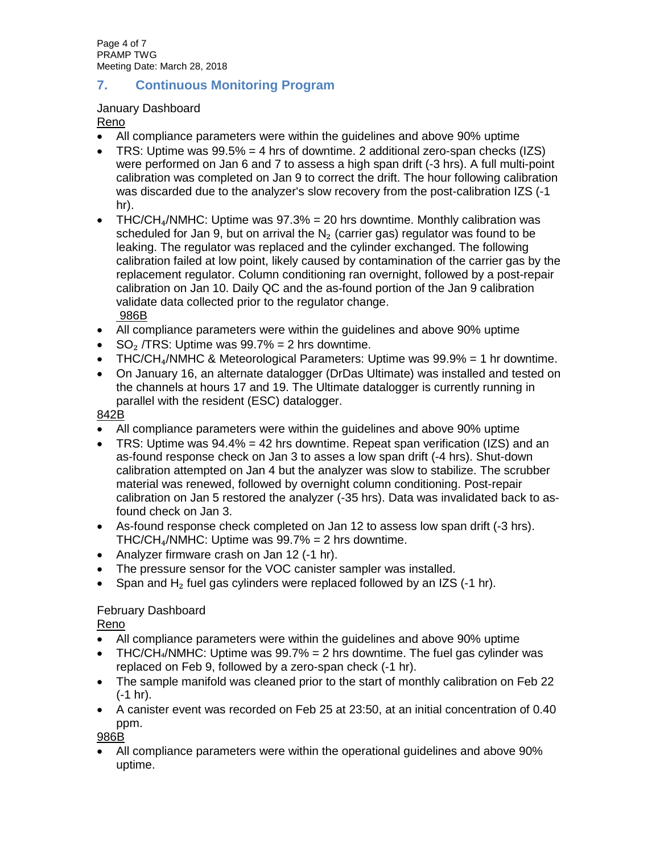Page 4 of 7 PRAMP TWG Meeting Date: March 28, 2018

# **7. Continuous Monitoring Program**

### January Dashboard

Reno

- All compliance parameters were within the guidelines and above 90% uptime
- TRS: Uptime was  $99.5\% = 4$  hrs of downtime. 2 additional zero-span checks (IZS) were performed on Jan 6 and 7 to assess a high span drift (-3 hrs). A full multi-point calibration was completed on Jan 9 to correct the drift. The hour following calibration was discarded due to the analyzer's slow recovery from the post-calibration IZS (-1 hr).
- THC/CH $_4$ /NMHC: Uptime was 97.3% = 20 hrs downtime. Monthly calibration was scheduled for Jan 9, but on arrival the  $N<sub>2</sub>$  (carrier gas) regulator was found to be leaking. The regulator was replaced and the cylinder exchanged. The following calibration failed at low point, likely caused by contamination of the carrier gas by the replacement regulator. Column conditioning ran overnight, followed by a post-repair calibration on Jan 10. Daily QC and the as-found portion of the Jan 9 calibration validate data collected prior to the regulator change. 986B
- All compliance parameters were within the guidelines and above 90% uptime
- SO<sub>2</sub> /TRS: Uptime was  $99.7% = 2$  hrs downtime.
- THC/CH<sub>4</sub>/NMHC & Meteorological Parameters: Uptime was  $99.9\% = 1$  hr downtime.
- On January 16, an alternate datalogger (DrDas Ultimate) was installed and tested on the channels at hours 17 and 19. The Ultimate datalogger is currently running in parallel with the resident (ESC) datalogger.

### 842B

- All compliance parameters were within the guidelines and above 90% uptime
- TRS: Uptime was  $94.4\% = 42$  hrs downtime. Repeat span verification (IZS) and an as-found response check on Jan 3 to asses a low span drift (-4 hrs). Shut-down calibration attempted on Jan 4 but the analyzer was slow to stabilize. The scrubber material was renewed, followed by overnight column conditioning. Post-repair calibration on Jan 5 restored the analyzer (-35 hrs). Data was invalidated back to asfound check on Jan 3.
- As-found response check completed on Jan 12 to assess low span drift (-3 hrs). THC/CH $_4$ /NMHC: Uptime was 99.7% = 2 hrs downtime.
- Analyzer firmware crash on Jan 12 (-1 hr).
- The pressure sensor for the VOC canister sampler was installed.
- Span and  $H<sub>2</sub>$  fuel gas cylinders were replaced followed by an IZS (-1 hr).

## February Dashboard

Reno

- All compliance parameters were within the guidelines and above 90% uptime
- THC/CH $_4$ /NMHC: Uptime was 99.7% = 2 hrs downtime. The fuel gas cylinder was replaced on Feb 9, followed by a zero-span check (-1 hr).
- The sample manifold was cleaned prior to the start of monthly calibration on Feb 22 (-1 hr).
- A canister event was recorded on Feb 25 at 23:50, at an initial concentration of 0.40 ppm.

986B

• All compliance parameters were within the operational guidelines and above 90% uptime.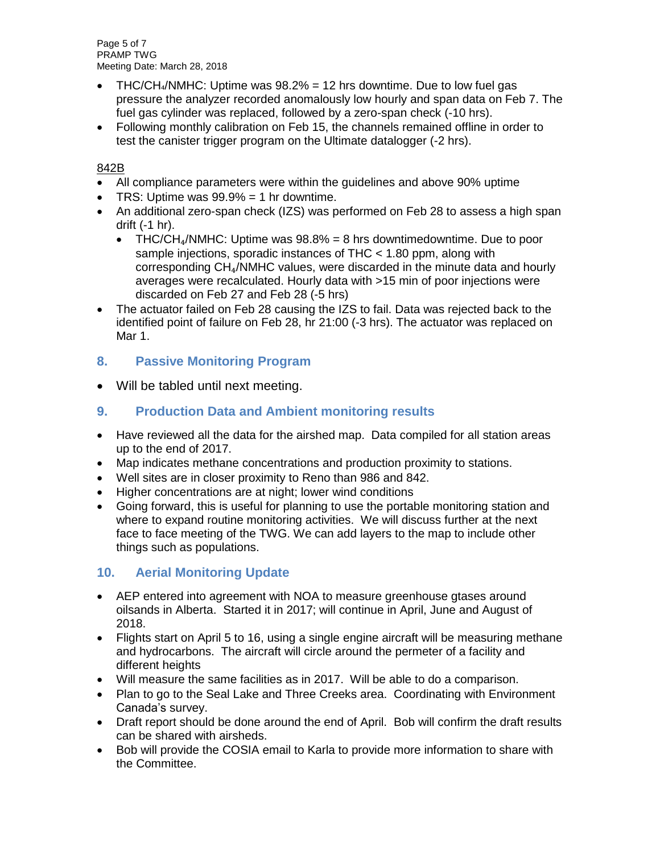Page 5 of 7 PRAMP TWG Meeting Date: March 28, 2018

- THC/CH $_4$ /NMHC: Uptime was  $98.2\% = 12$  hrs downtime. Due to low fuel gas pressure the analyzer recorded anomalously low hourly and span data on Feb 7. The fuel gas cylinder was replaced, followed by a zero-span check (-10 hrs).
- Following monthly calibration on Feb 15, the channels remained offline in order to test the canister trigger program on the Ultimate datalogger (-2 hrs).

### 842B

- All compliance parameters were within the guidelines and above 90% uptime
- TRS: Uptime was  $99.9\% = 1$  hr downtime.
- An additional zero-span check (IZS) was performed on Feb 28 to assess a high span drift (-1 hr).
	- THC/CH<sub>4</sub>/NMHC: Uptime was  $98.8\% = 8$  hrs downtimedowntime. Due to poor sample injections, sporadic instances of THC < 1.80 ppm, along with corresponding CH₄/NMHC values, were discarded in the minute data and hourly averages were recalculated. Hourly data with >15 min of poor injections were discarded on Feb 27 and Feb 28 (-5 hrs)
- The actuator failed on Feb 28 causing the IZS to fail. Data was rejected back to the identified point of failure on Feb 28, hr 21:00 (-3 hrs). The actuator was replaced on Mar 1.

# **8. Passive Monitoring Program**

• Will be tabled until next meeting.

## **9. Production Data and Ambient monitoring results**

- Have reviewed all the data for the airshed map. Data compiled for all station areas up to the end of 2017.
- Map indicates methane concentrations and production proximity to stations.
- Well sites are in closer proximity to Reno than 986 and 842.
- Higher concentrations are at night; lower wind conditions
- Going forward, this is useful for planning to use the portable monitoring station and where to expand routine monitoring activities. We will discuss further at the next face to face meeting of the TWG. We can add layers to the map to include other things such as populations.

## **10. Aerial Monitoring Update**

- AEP entered into agreement with NOA to measure greenhouse gtases around oilsands in Alberta. Started it in 2017; will continue in April, June and August of 2018.
- Flights start on April 5 to 16, using a single engine aircraft will be measuring methane and hydrocarbons. The aircraft will circle around the permeter of a facility and different heights
- Will measure the same facilities as in 2017. Will be able to do a comparison.
- Plan to go to the Seal Lake and Three Creeks area. Coordinating with Environment Canada's survey.
- Draft report should be done around the end of April. Bob will confirm the draft results can be shared with airsheds.
- Bob will provide the COSIA email to Karla to provide more information to share with the Committee.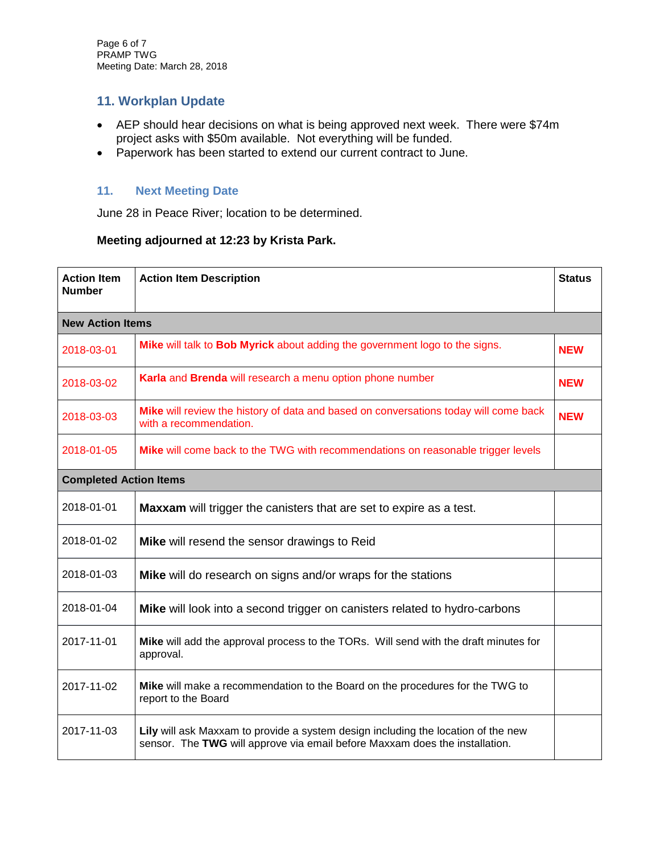# **11. Workplan Update**

- AEP should hear decisions on what is being approved next week. There were \$74m project asks with \$50m available. Not everything will be funded.
- Paperwork has been started to extend our current contract to June.

### **11. Next Meeting Date**

June 28 in Peace River; location to be determined.

## **Meeting adjourned at 12:23 by Krista Park.**

| <b>Action Item</b><br><b>Number</b> | <b>Action Item Description</b>                                                                                                                                   | <b>Status</b> |  |  |  |
|-------------------------------------|------------------------------------------------------------------------------------------------------------------------------------------------------------------|---------------|--|--|--|
| <b>New Action Items</b>             |                                                                                                                                                                  |               |  |  |  |
| 2018-03-01                          | Mike will talk to Bob Myrick about adding the government logo to the signs.                                                                                      | <b>NEW</b>    |  |  |  |
| 2018-03-02                          | Karla and Brenda will research a menu option phone number                                                                                                        | <b>NEW</b>    |  |  |  |
| 2018-03-03                          | Mike will review the history of data and based on conversations today will come back<br>with a recommendation.                                                   | <b>NEW</b>    |  |  |  |
| 2018-01-05                          | Mike will come back to the TWG with recommendations on reasonable trigger levels                                                                                 |               |  |  |  |
| <b>Completed Action Items</b>       |                                                                                                                                                                  |               |  |  |  |
| 2018-01-01                          | Maxxam will trigger the canisters that are set to expire as a test.                                                                                              |               |  |  |  |
| 2018-01-02                          | Mike will resend the sensor drawings to Reid                                                                                                                     |               |  |  |  |
| 2018-01-03                          | Mike will do research on signs and/or wraps for the stations                                                                                                     |               |  |  |  |
| 2018-01-04                          | Mike will look into a second trigger on canisters related to hydro-carbons                                                                                       |               |  |  |  |
| 2017-11-01                          | Mike will add the approval process to the TORs. Will send with the draft minutes for<br>approval.                                                                |               |  |  |  |
| 2017-11-02                          | Mike will make a recommendation to the Board on the procedures for the TWG to<br>report to the Board                                                             |               |  |  |  |
| 2017-11-03                          | Lily will ask Maxxam to provide a system design including the location of the new<br>sensor. The TWG will approve via email before Maxxam does the installation. |               |  |  |  |